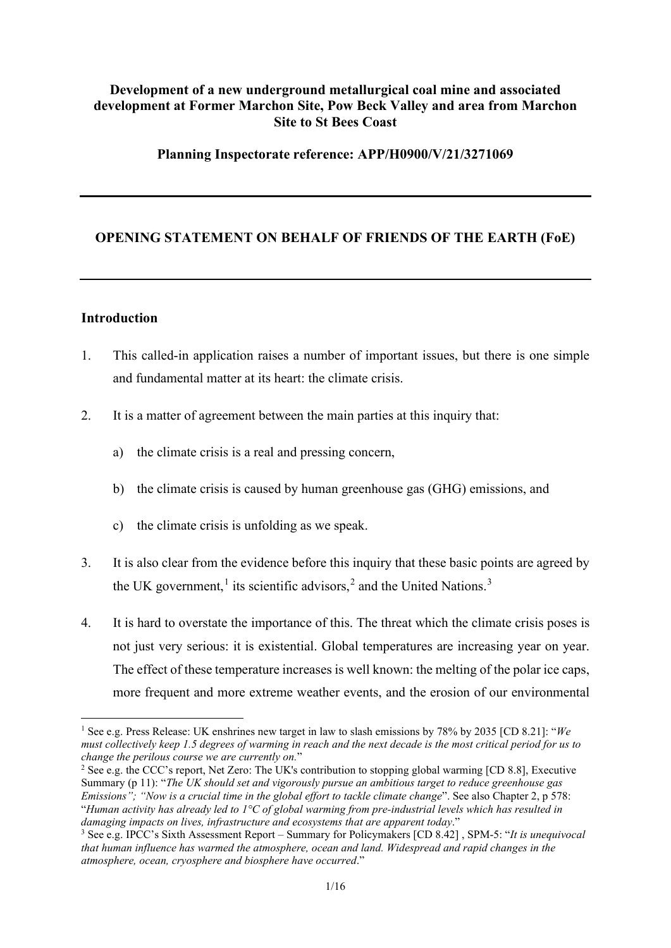# **Development of a new underground metallurgical coal mine and associated development at Former Marchon Site, Pow Beck Valley and area from Marchon Site to St Bees Coast**

#### **Planning Inspectorate reference: APP/H0900/V/21/3271069**

# **OPENING STATEMENT ON BEHALF OF FRIENDS OF THE EARTH (FoE)**

#### **Introduction**

- 1. This called-in application raises a number of important issues, but there is one simple and fundamental matter at its heart: the climate crisis.
- 2. It is a matter of agreement between the main parties at this inquiry that:
	- a) the climate crisis is a real and pressing concern,
	- b) the climate crisis is caused by human greenhouse gas (GHG) emissions, and
	- c) the climate crisis is unfolding as we speak.
- 3. It is also clear from the evidence before this inquiry that these basic points are agreed by the UK government,<sup>[1](#page-0-0)</sup> its scientific advisors,<sup>[2](#page-0-1)</sup> and the United Nations.<sup>[3](#page-0-2)</sup>
- 4. It is hard to overstate the importance of this. The threat which the climate crisis poses is not just very serious: it is existential. Global temperatures are increasing year on year. The effect of these temperature increases is well known: the melting of the polar ice caps, more frequent and more extreme weather events, and the erosion of our environmental

<span id="page-0-0"></span><sup>1</sup> See e.g. Press Release: UK enshrines new target in law to slash emissions by 78% by 2035 [CD 8.21]: "*We must collectively keep 1.5 degrees of warming in reach and the next decade is the most critical period for us to change the perilous course we are currently on.*"

<span id="page-0-1"></span><sup>2</sup> See e.g. the CCC's report, Net Zero: The UK's contribution to stopping global warming [CD 8.8], Executive Summary (p 11): "*The UK should set and vigorously pursue an ambitious target to reduce greenhouse gas Emissions": "Now is a crucial time in the global effort to tackle climate change".* See also Chapter 2, p 578: "*Human activity has already led to 1°C of global warming from pre-industrial levels which has resulted in damaging impacts on lives, infrastructure and ecosystems that are apparent today*."

<span id="page-0-2"></span><sup>3</sup> See e.g. IPCC's Sixth Assessment Report – Summary for Policymakers [CD 8.42] , SPM-5: "*It is unequivocal that human influence has warmed the atmosphere, ocean and land. Widespread and rapid changes in the atmosphere, ocean, cryosphere and biosphere have occurred*."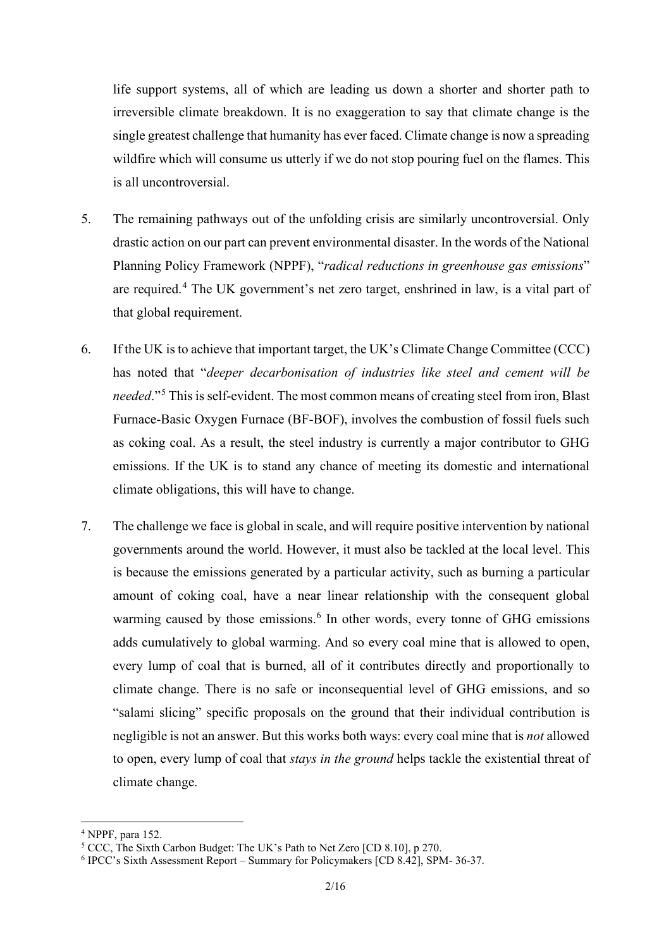life support systems, all of which are leading us down a shorter and shorter path to irreversible climate breakdown. It is no exaggeration to say that climate change is the single greatest challenge that humanity has ever faced. Climate change is now a spreading wildfire which will consume us utterly if we do not stop pouring fuel on the flames. This is all uncontroversial.

- 5. The remaining pathways out of the unfolding crisis are similarly uncontroversial. Only drastic action on our part can prevent environmental disaster. In the words of the National Planning Policy Framework (NPPF), "*radical reductions in greenhouse gas emissions*" are required.<sup>[4](#page-1-0)</sup> The UK government's net zero target, enshrined in law, is a vital part of that global requirement.
- 6. If the UK is to achieve that important target, the UK's Climate Change Committee (CCC) has noted that "*deeper decarbonisation of industries like steel and cement will be needed*."[5](#page-1-1) This is self-evident. The most common means of creating steel from iron, Blast Furnace-Basic Oxygen Furnace (BF-BOF), involves the combustion of fossil fuels such as coking coal. As a result, the steel industry is currently a major contributor to GHG emissions. If the UK is to stand any chance of meeting its domestic and international climate obligations, this will have to change.
- 7. The challenge we face is global in scale, and will require positive intervention by national governments around the world. However, it must also be tackled at the local level. This is because the emissions generated by a particular activity, such as burning a particular amount of coking coal, have a near linear relationship with the consequent global warming caused by those emissions.<sup>[6](#page-1-2)</sup> In other words, every tonne of GHG emissions adds cumulatively to global warming. And so every coal mine that is allowed to open, every lump of coal that is burned, all of it contributes directly and proportionally to climate change. There is no safe or inconsequential level of GHG emissions, and so "salami slicing" specific proposals on the ground that their individual contribution is negligible is not an answer. But this works both ways: every coal mine that is *not* allowed to open, every lump of coal that *stays in the ground* helps tackle the existential threat of climate change.

<span id="page-1-0"></span> $4$  NPPF, para 152.

<span id="page-1-1"></span><sup>5</sup> CCC, The Sixth Carbon Budget: The UK's Path to Net Zero [CD 8.10], p 270.

<span id="page-1-2"></span><sup>6</sup> IPCC's Sixth Assessment Report – Summary for Policymakers [CD 8.42], SPM- 36-37.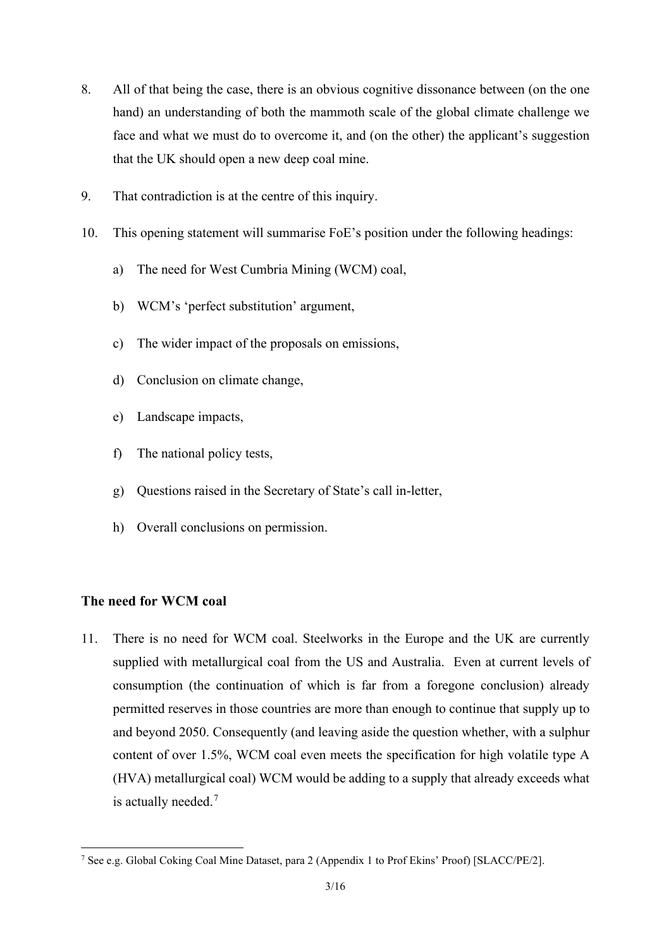- 8. All of that being the case, there is an obvious cognitive dissonance between (on the one hand) an understanding of both the mammoth scale of the global climate challenge we face and what we must do to overcome it, and (on the other) the applicant's suggestion that the UK should open a new deep coal mine.
- 9. That contradiction is at the centre of this inquiry.
- 10. This opening statement will summarise FoE's position under the following headings:
	- a) The need for West Cumbria Mining (WCM) coal,
	- b) WCM's 'perfect substitution' argument,
	- c) The wider impact of the proposals on emissions,
	- d) Conclusion on climate change,
	- e) Landscape impacts,
	- f) The national policy tests,
	- g) Questions raised in the Secretary of State's call in-letter,
	- h) Overall conclusions on permission.

#### **The need for WCM coal**

11. There is no need for WCM coal. Steelworks in the Europe and the UK are currently supplied with metallurgical coal from the US and Australia. Even at current levels of consumption (the continuation of which is far from a foregone conclusion) already permitted reserves in those countries are more than enough to continue that supply up to and beyond 2050. Consequently (and leaving aside the question whether, with a sulphur content of over 1.5%, WCM coal even meets the specification for high volatile type A (HVA) metallurgical coal) WCM would be adding to a supply that already exceeds what is actually needed.<sup>[7](#page-2-0)</sup>

<span id="page-2-0"></span><sup>7</sup> See e.g. Global Coking Coal Mine Dataset, para 2 (Appendix 1 to Prof Ekins' Proof) [SLACC/PE/2].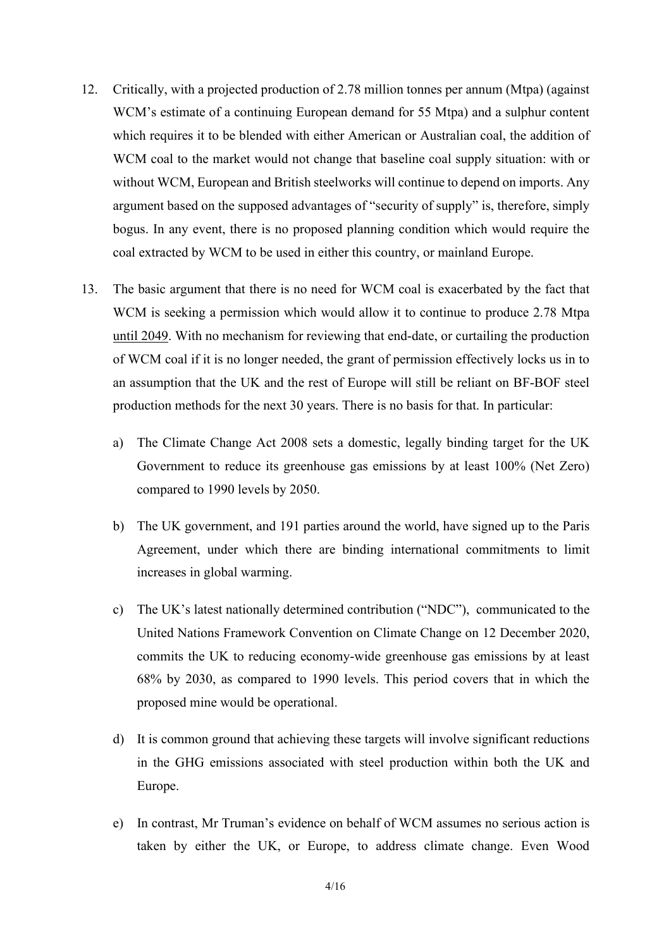- 12. Critically, with a projected production of 2.78 million tonnes per annum (Mtpa) (against WCM's estimate of a continuing European demand for 55 Mtpa) and a sulphur content which requires it to be blended with either American or Australian coal, the addition of WCM coal to the market would not change that baseline coal supply situation: with or without WCM, European and British steelworks will continue to depend on imports. Any argument based on the supposed advantages of "security of supply" is, therefore, simply bogus. In any event, there is no proposed planning condition which would require the coal extracted by WCM to be used in either this country, or mainland Europe.
- 13. The basic argument that there is no need for WCM coal is exacerbated by the fact that WCM is seeking a permission which would allow it to continue to produce 2.78 Mtpa until 2049. With no mechanism for reviewing that end-date, or curtailing the production of WCM coal if it is no longer needed, the grant of permission effectively locks us in to an assumption that the UK and the rest of Europe will still be reliant on BF-BOF steel production methods for the next 30 years. There is no basis for that. In particular:
	- a) The Climate Change Act 2008 sets a domestic, legally binding target for the UK Government to reduce its greenhouse gas emissions by at least 100% (Net Zero) compared to 1990 levels by 2050.
	- b) The UK government, and 191 parties around the world, have signed up to the Paris Agreement, under which there are binding international commitments to limit increases in global warming.
	- c) The UK's latest nationally determined contribution ("NDC"), communicated to the United Nations Framework Convention on Climate Change on 12 December 2020, commits the UK to reducing economy-wide greenhouse gas emissions by at least 68% by 2030, as compared to 1990 levels. This period covers that in which the proposed mine would be operational.
	- d) It is common ground that achieving these targets will involve significant reductions in the GHG emissions associated with steel production within both the UK and Europe.
	- e) In contrast, Mr Truman's evidence on behalf of WCM assumes no serious action is taken by either the UK, or Europe, to address climate change. Even Wood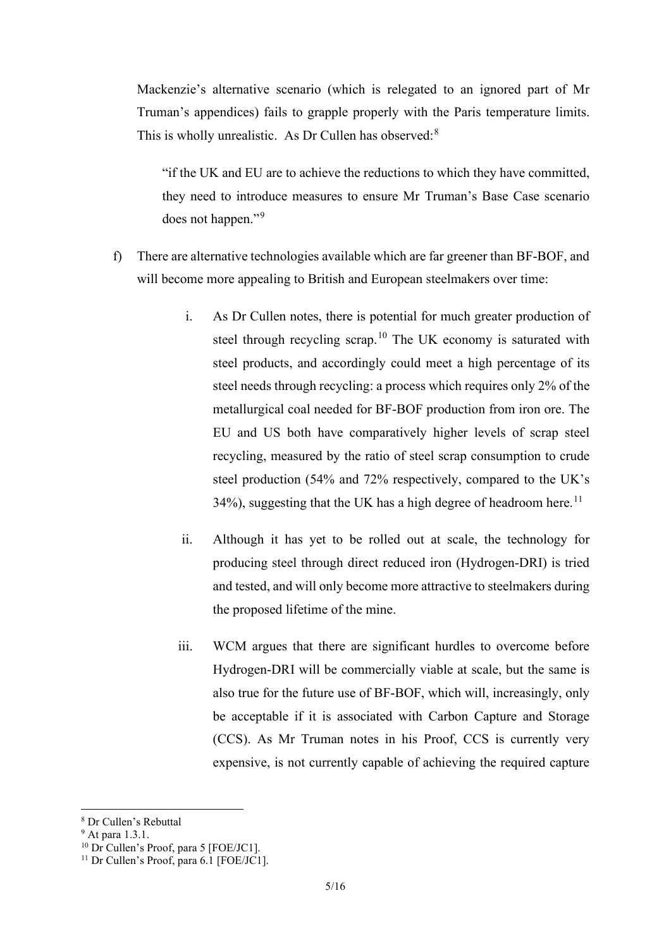Mackenzie's alternative scenario (which is relegated to an ignored part of Mr Truman's appendices) fails to grapple properly with the Paris temperature limits. This is wholly unrealistic. As Dr Cullen has observed:[8](#page-4-0)

"if the UK and EU are to achieve the reductions to which they have committed, they need to introduce measures to ensure Mr Truman's Base Case scenario does not happen."<sup>[9](#page-4-1)</sup>

- f) There are alternative technologies available which are far greener than BF-BOF, and will become more appealing to British and European steelmakers over time:
	- i. As Dr Cullen notes, there is potential for much greater production of steel through recycling scrap.<sup>[10](#page-4-2)</sup> The UK economy is saturated with steel products, and accordingly could meet a high percentage of its steel needs through recycling: a process which requires only 2% of the metallurgical coal needed for BF-BOF production from iron ore. The EU and US both have comparatively higher levels of scrap steel recycling, measured by the ratio of steel scrap consumption to crude steel production (54% and 72% respectively, compared to the UK's 34%), suggesting that the UK has a high degree of headroom here.<sup>[11](#page-4-3)</sup>
	- ii. Although it has yet to be rolled out at scale, the technology for producing steel through direct reduced iron (Hydrogen-DRI) is tried and tested, and will only become more attractive to steelmakers during the proposed lifetime of the mine.
	- iii. WCM argues that there are significant hurdles to overcome before Hydrogen-DRI will be commercially viable at scale, but the same is also true for the future use of BF-BOF, which will, increasingly, only be acceptable if it is associated with Carbon Capture and Storage (CCS). As Mr Truman notes in his Proof, CCS is currently very expensive, is not currently capable of achieving the required capture

<span id="page-4-0"></span><sup>8</sup> Dr Cullen's Rebuttal

<span id="page-4-1"></span><sup>9</sup> At para 1.3.1.

<span id="page-4-2"></span><sup>&</sup>lt;sup>10</sup> Dr Cullen's Proof, para 5 [FOE/JC1].

<span id="page-4-3"></span> $11$  Dr Cullen's Proof, para 6.1 [FOE/JC1].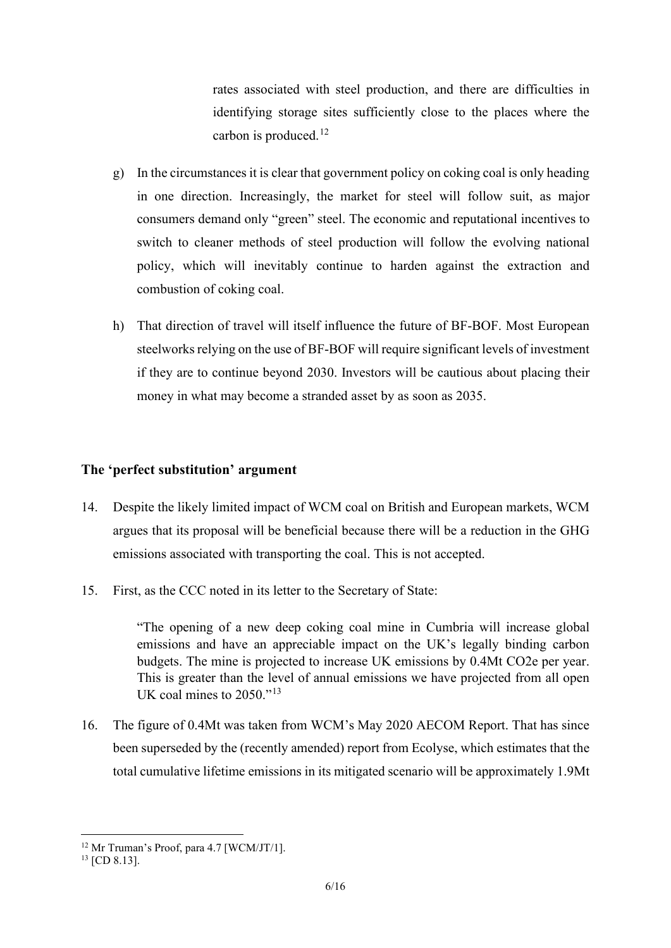rates associated with steel production, and there are difficulties in identifying storage sites sufficiently close to the places where the carbon is produced.<sup>[12](#page-5-0)</sup>

- g) In the circumstances it is clear that government policy on coking coal is only heading in one direction. Increasingly, the market for steel will follow suit, as major consumers demand only "green" steel. The economic and reputational incentives to switch to cleaner methods of steel production will follow the evolving national policy, which will inevitably continue to harden against the extraction and combustion of coking coal.
- h) That direction of travel will itself influence the future of BF-BOF. Most European steelworks relying on the use of BF-BOF will require significant levels of investment if they are to continue beyond 2030. Investors will be cautious about placing their money in what may become a stranded asset by as soon as 2035.

## **The 'perfect substitution' argument**

- 14. Despite the likely limited impact of WCM coal on British and European markets, WCM argues that its proposal will be beneficial because there will be a reduction in the GHG emissions associated with transporting the coal. This is not accepted.
- 15. First, as the CCC noted in its letter to the Secretary of State:

"The opening of a new deep coking coal mine in Cumbria will increase global emissions and have an appreciable impact on the UK's legally binding carbon budgets. The mine is projected to increase UK emissions by 0.4Mt CO2e per year. This is greater than the level of annual emissions we have projected from all open UK coal mines to 2050."<sup>[13](#page-5-1)</sup>

16. The figure of 0.4Mt was taken from WCM's May 2020 AECOM Report. That has since been superseded by the (recently amended) report from Ecolyse, which estimates that the total cumulative lifetime emissions in its mitigated scenario will be approximately 1.9Mt

<span id="page-5-0"></span><sup>&</sup>lt;sup>12</sup> Mr Truman's Proof, para 4.7 [WCM/JT/1].

<span id="page-5-1"></span><sup>&</sup>lt;sup>13</sup> [CD 8.13].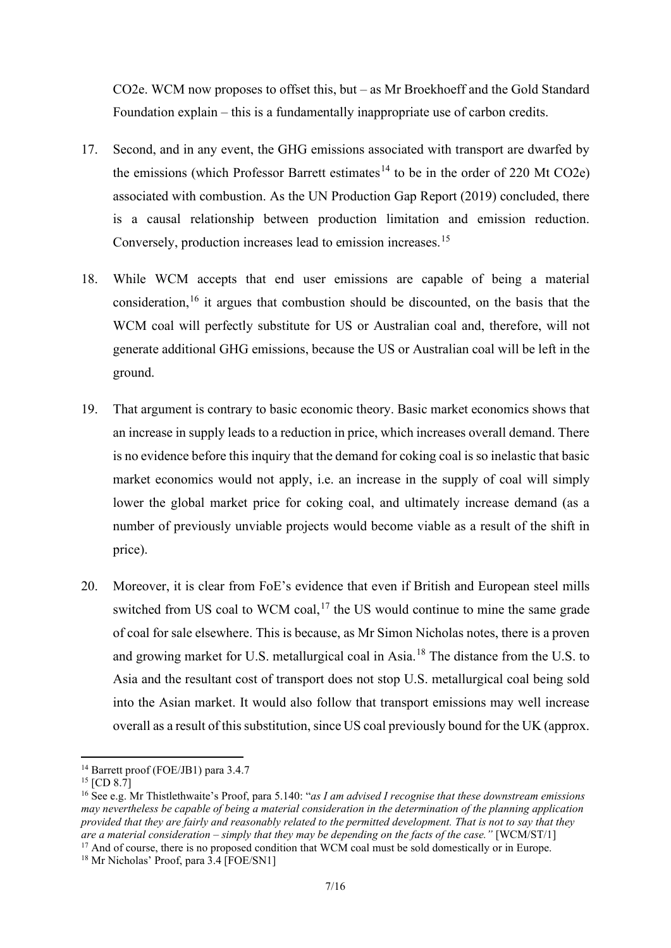CO2e. WCM now proposes to offset this, but – as Mr Broekhoeff and the Gold Standard Foundation explain – this is a fundamentally inappropriate use of carbon credits.

- 17. Second, and in any event, the GHG emissions associated with transport are dwarfed by the emissions (which Professor Barrett estimates<sup>[14](#page-6-0)</sup> to be in the order of 220 Mt CO2e) associated with combustion. As the UN Production Gap Report (2019) concluded, there is a causal relationship between production limitation and emission reduction. Conversely, production increases lead to emission increases.[15](#page-6-1)
- 18. While WCM accepts that end user emissions are capable of being a material consideration, <sup>[16](#page-6-2)</sup> it argues that combustion should be discounted, on the basis that the WCM coal will perfectly substitute for US or Australian coal and, therefore, will not generate additional GHG emissions, because the US or Australian coal will be left in the ground.
- 19. That argument is contrary to basic economic theory. Basic market economics shows that an increase in supply leads to a reduction in price, which increases overall demand. There is no evidence before this inquiry that the demand for coking coal is so inelastic that basic market economics would not apply, i.e. an increase in the supply of coal will simply lower the global market price for coking coal, and ultimately increase demand (as a number of previously unviable projects would become viable as a result of the shift in price).
- 20. Moreover, it is clear from FoE's evidence that even if British and European steel mills switched from US coal to WCM coal, $17$  the US would continue to mine the same grade of coal for sale elsewhere. This is because, as Mr Simon Nicholas notes, there is a proven and growing market for U.S. metallurgical coal in Asia.[18](#page-6-4) The distance from the U.S. to Asia and the resultant cost of transport does not stop U.S. metallurgical coal being sold into the Asian market. It would also follow that transport emissions may well increase overall as a result of this substitution, since US coal previously bound for the UK (approx.

<span id="page-6-0"></span><sup>14</sup> Barrett proof (FOE/JB1) para 3.4.7

<span id="page-6-1"></span> $15$  [CD 8.7]

<span id="page-6-2"></span><sup>16</sup> See e.g. Mr Thistlethwaite's Proof, para 5.140: "*as I am advised I recognise that these downstream emissions may nevertheless be capable of being a material consideration in the determination of the planning application provided that they are fairly and reasonably related to the permitted development. That is not to say that they are a material consideration – simply that they may be depending on the facts of the case."* [WCM/ST/1]

<span id="page-6-3"></span><sup>&</sup>lt;sup>17</sup> And of course, there is no proposed condition that WCM coal must be sold domestically or in Europe.

<span id="page-6-4"></span><sup>&</sup>lt;sup>18</sup> Mr Nicholas' Proof, para 3.4 [FOE/SN1]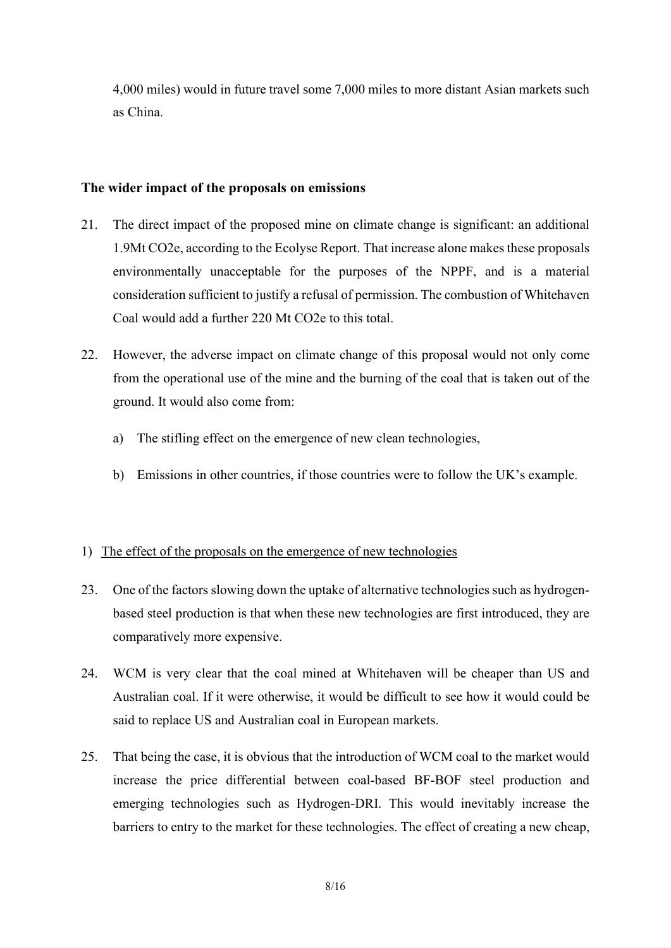4,000 miles) would in future travel some 7,000 miles to more distant Asian markets such as China.

# **The wider impact of the proposals on emissions**

- 21. The direct impact of the proposed mine on climate change is significant: an additional 1.9Mt CO2e, according to the Ecolyse Report. That increase alone makes these proposals environmentally unacceptable for the purposes of the NPPF, and is a material consideration sufficient to justify a refusal of permission. The combustion of Whitehaven Coal would add a further 220 Mt CO2e to this total.
- 22. However, the adverse impact on climate change of this proposal would not only come from the operational use of the mine and the burning of the coal that is taken out of the ground. It would also come from:
	- a) The stifling effect on the emergence of new clean technologies,
	- b) Emissions in other countries, if those countries were to follow the UK's example.

# 1) The effect of the proposals on the emergence of new technologies

- 23. One of the factors slowing down the uptake of alternative technologies such as hydrogenbased steel production is that when these new technologies are first introduced, they are comparatively more expensive.
- 24. WCM is very clear that the coal mined at Whitehaven will be cheaper than US and Australian coal. If it were otherwise, it would be difficult to see how it would could be said to replace US and Australian coal in European markets.
- 25. That being the case, it is obvious that the introduction of WCM coal to the market would increase the price differential between coal-based BF-BOF steel production and emerging technologies such as Hydrogen-DRI. This would inevitably increase the barriers to entry to the market for these technologies. The effect of creating a new cheap,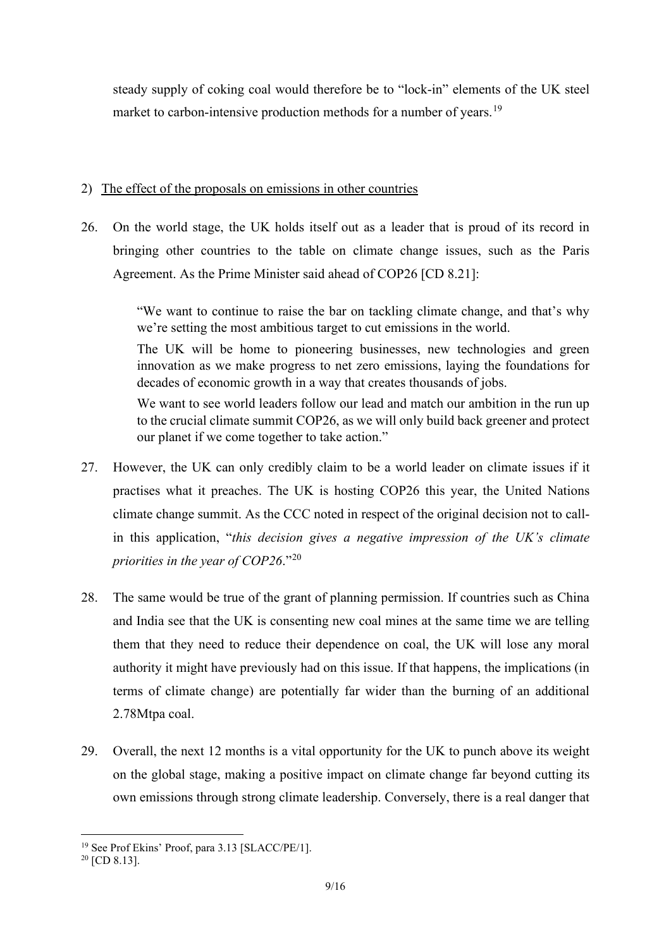steady supply of coking coal would therefore be to "lock-in" elements of the UK steel market to carbon-intensive production methods for a number of years.<sup>[19](#page-8-0)</sup>

# 2) The effect of the proposals on emissions in other countries

26. On the world stage, the UK holds itself out as a leader that is proud of its record in bringing other countries to the table on climate change issues, such as the Paris Agreement. As the Prime Minister said ahead of COP26 [CD 8.21]:

> "We want to continue to raise the bar on tackling climate change, and that's why we're setting the most ambitious target to cut emissions in the world.

> The UK will be home to pioneering businesses, new technologies and green innovation as we make progress to net zero emissions, laying the foundations for decades of economic growth in a way that creates thousands of jobs.

> We want to see world leaders follow our lead and match our ambition in the run up to the crucial climate summit COP26, as we will only build back greener and protect our planet if we come together to take action."

- 27. However, the UK can only credibly claim to be a world leader on climate issues if it practises what it preaches. The UK is hosting COP26 this year, the United Nations climate change summit. As the CCC noted in respect of the original decision not to callin this application, "*this decision gives a negative impression of the UK's climate priorities in the year of COP26*."[20](#page-8-1)
- 28. The same would be true of the grant of planning permission. If countries such as China and India see that the UK is consenting new coal mines at the same time we are telling them that they need to reduce their dependence on coal, the UK will lose any moral authority it might have previously had on this issue. If that happens, the implications (in terms of climate change) are potentially far wider than the burning of an additional 2.78Mtpa coal.
- 29. Overall, the next 12 months is a vital opportunity for the UK to punch above its weight on the global stage, making a positive impact on climate change far beyond cutting its own emissions through strong climate leadership. Conversely, there is a real danger that

<span id="page-8-0"></span><sup>19</sup> See Prof Ekins' Proof, para 3.13 [SLACC/PE/1].

<span id="page-8-1"></span> $20$  [CD 8.13].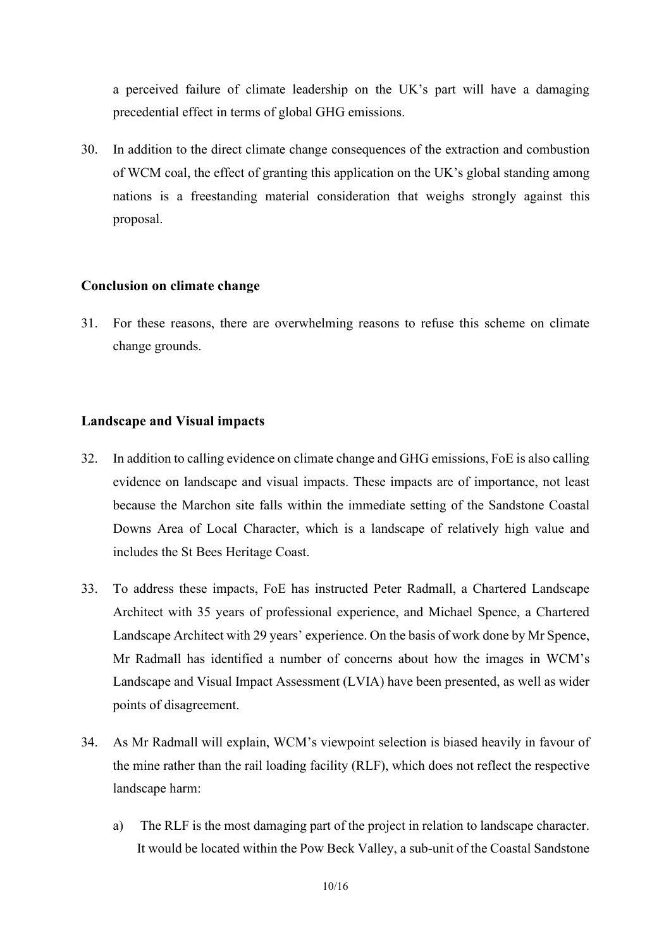a perceived failure of climate leadership on the UK's part will have a damaging precedential effect in terms of global GHG emissions.

30. In addition to the direct climate change consequences of the extraction and combustion of WCM coal, the effect of granting this application on the UK's global standing among nations is a freestanding material consideration that weighs strongly against this proposal.

#### **Conclusion on climate change**

31. For these reasons, there are overwhelming reasons to refuse this scheme on climate change grounds.

#### **Landscape and Visual impacts**

- 32. In addition to calling evidence on climate change and GHG emissions, FoE is also calling evidence on landscape and visual impacts. These impacts are of importance, not least because the Marchon site falls within the immediate setting of the Sandstone Coastal Downs Area of Local Character, which is a landscape of relatively high value and includes the St Bees Heritage Coast.
- 33. To address these impacts, FoE has instructed Peter Radmall, a Chartered Landscape Architect with 35 years of professional experience, and Michael Spence, a Chartered Landscape Architect with 29 years' experience. On the basis of work done by Mr Spence, Mr Radmall has identified a number of concerns about how the images in WCM's Landscape and Visual Impact Assessment (LVIA) have been presented, as well as wider points of disagreement.
- 34. As Mr Radmall will explain, WCM's viewpoint selection is biased heavily in favour of the mine rather than the rail loading facility (RLF), which does not reflect the respective landscape harm:
	- a) The RLF is the most damaging part of the project in relation to landscape character. It would be located within the Pow Beck Valley, a sub-unit of the Coastal Sandstone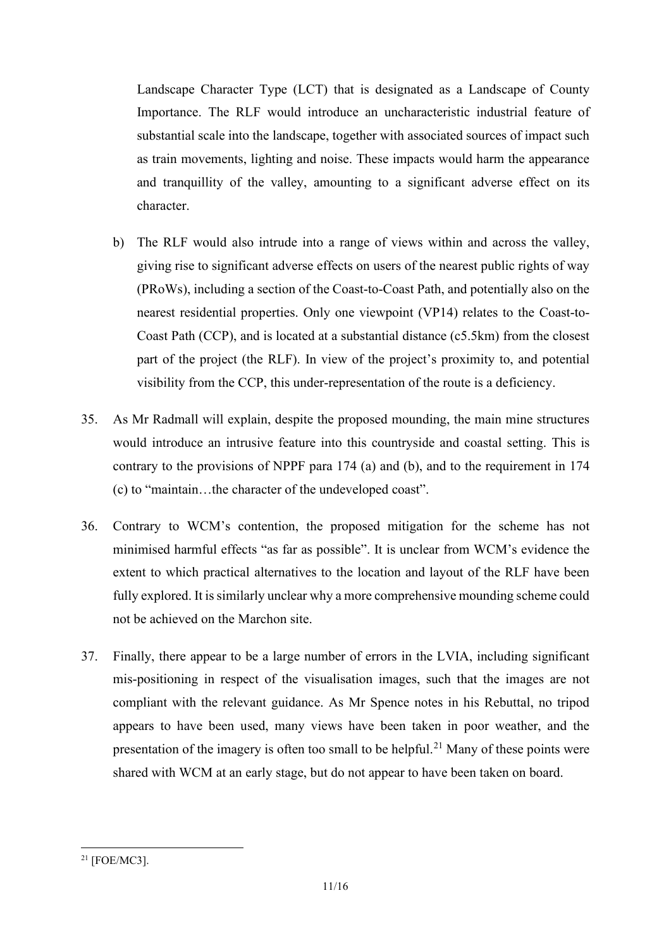Landscape Character Type (LCT) that is designated as a Landscape of County Importance. The RLF would introduce an uncharacteristic industrial feature of substantial scale into the landscape, together with associated sources of impact such as train movements, lighting and noise. These impacts would harm the appearance and tranquillity of the valley, amounting to a significant adverse effect on its character.

- b) The RLF would also intrude into a range of views within and across the valley, giving rise to significant adverse effects on users of the nearest public rights of way (PRoWs), including a section of the Coast-to-Coast Path, and potentially also on the nearest residential properties. Only one viewpoint (VP14) relates to the Coast-to-Coast Path (CCP), and is located at a substantial distance (c5.5km) from the closest part of the project (the RLF). In view of the project's proximity to, and potential visibility from the CCP, this under-representation of the route is a deficiency.
- 35. As Mr Radmall will explain, despite the proposed mounding, the main mine structures would introduce an intrusive feature into this countryside and coastal setting. This is contrary to the provisions of NPPF para 174 (a) and (b), and to the requirement in 174 (c) to "maintain…the character of the undeveloped coast".
- 36. Contrary to WCM's contention, the proposed mitigation for the scheme has not minimised harmful effects "as far as possible". It is unclear from WCM's evidence the extent to which practical alternatives to the location and layout of the RLF have been fully explored. It is similarly unclear why a more comprehensive mounding scheme could not be achieved on the Marchon site.
- 37. Finally, there appear to be a large number of errors in the LVIA, including significant mis-positioning in respect of the visualisation images, such that the images are not compliant with the relevant guidance. As Mr Spence notes in his Rebuttal, no tripod appears to have been used, many views have been taken in poor weather, and the presentation of the imagery is often too small to be helpful.<sup>[21](#page-10-0)</sup> Many of these points were shared with WCM at an early stage, but do not appear to have been taken on board.

<span id="page-10-0"></span><sup>21</sup> [FOE/MC3].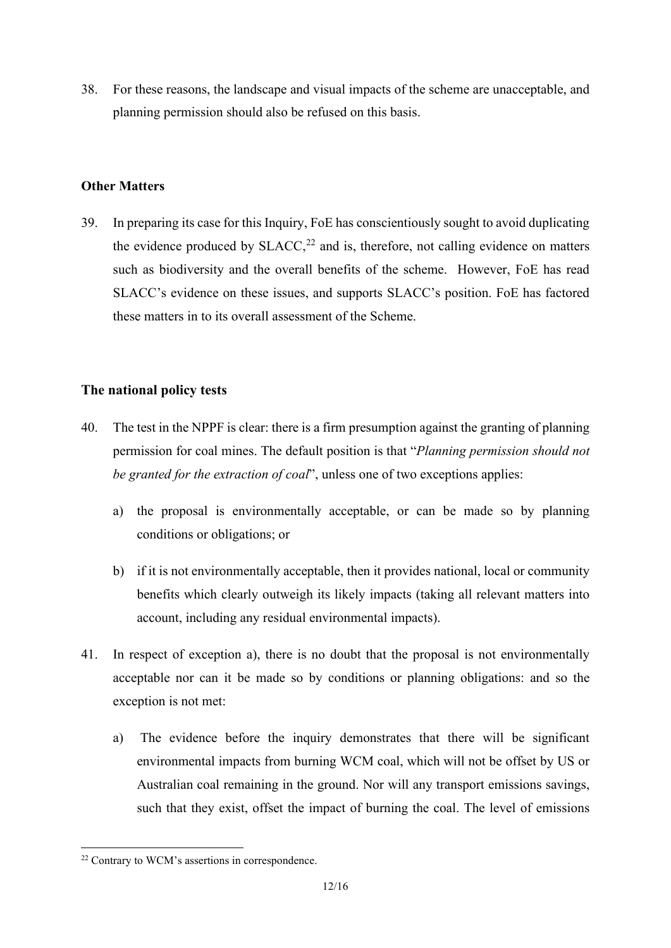38. For these reasons, the landscape and visual impacts of the scheme are unacceptable, and planning permission should also be refused on this basis.

# **Other Matters**

39. In preparing its case for this Inquiry, FoE has conscientiously sought to avoid duplicating the evidence produced by  $SLACC<sub>2</sub><sup>22</sup>$  $SLACC<sub>2</sub><sup>22</sup>$  $SLACC<sub>2</sub><sup>22</sup>$  and is, therefore, not calling evidence on matters such as biodiversity and the overall benefits of the scheme. However, FoE has read SLACC's evidence on these issues, and supports SLACC's position. FoE has factored these matters in to its overall assessment of the Scheme.

# **The national policy tests**

- 40. The test in the NPPF is clear: there is a firm presumption against the granting of planning permission for coal mines. The default position is that "*Planning permission should not be granted for the extraction of coal*", unless one of two exceptions applies:
	- a) the proposal is environmentally acceptable, or can be made so by planning conditions or obligations; or
	- b) if it is not environmentally acceptable, then it provides national, local or community benefits which clearly outweigh its likely impacts (taking all relevant matters into account, including any residual environmental impacts).
- 41. In respect of exception a), there is no doubt that the proposal is not environmentally acceptable nor can it be made so by conditions or planning obligations: and so the exception is not met:
	- a) The evidence before the inquiry demonstrates that there will be significant environmental impacts from burning WCM coal, which will not be offset by US or Australian coal remaining in the ground. Nor will any transport emissions savings, such that they exist, offset the impact of burning the coal. The level of emissions

<span id="page-11-0"></span><sup>22</sup> Contrary to WCM's assertions in correspondence.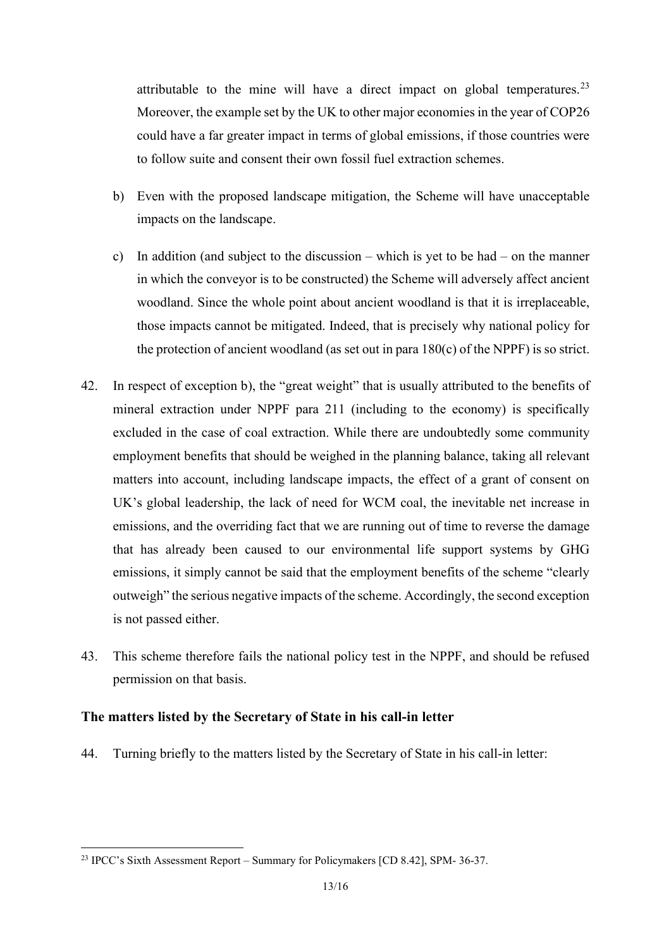attributable to the mine will have a direct impact on global temperatures.<sup>[23](#page-12-0)</sup> Moreover, the example set by the UK to other major economies in the year of COP26 could have a far greater impact in terms of global emissions, if those countries were to follow suite and consent their own fossil fuel extraction schemes.

- b) Even with the proposed landscape mitigation, the Scheme will have unacceptable impacts on the landscape.
- c) In addition (and subject to the discussion which is yet to be had on the manner in which the conveyor is to be constructed) the Scheme will adversely affect ancient woodland. Since the whole point about ancient woodland is that it is irreplaceable, those impacts cannot be mitigated. Indeed, that is precisely why national policy for the protection of ancient woodland (as set out in para 180(c) of the NPPF) is so strict.
- 42. In respect of exception b), the "great weight" that is usually attributed to the benefits of mineral extraction under NPPF para 211 (including to the economy) is specifically excluded in the case of coal extraction. While there are undoubtedly some community employment benefits that should be weighed in the planning balance, taking all relevant matters into account, including landscape impacts, the effect of a grant of consent on UK's global leadership, the lack of need for WCM coal, the inevitable net increase in emissions, and the overriding fact that we are running out of time to reverse the damage that has already been caused to our environmental life support systems by GHG emissions, it simply cannot be said that the employment benefits of the scheme "clearly outweigh" the serious negative impacts of the scheme. Accordingly, the second exception is not passed either.
- 43. This scheme therefore fails the national policy test in the NPPF, and should be refused permission on that basis.

## **The matters listed by the Secretary of State in his call-in letter**

44. Turning briefly to the matters listed by the Secretary of State in his call-in letter:

<span id="page-12-0"></span><sup>23</sup> IPCC's Sixth Assessment Report – Summary for Policymakers [CD 8.42], SPM- 36-37.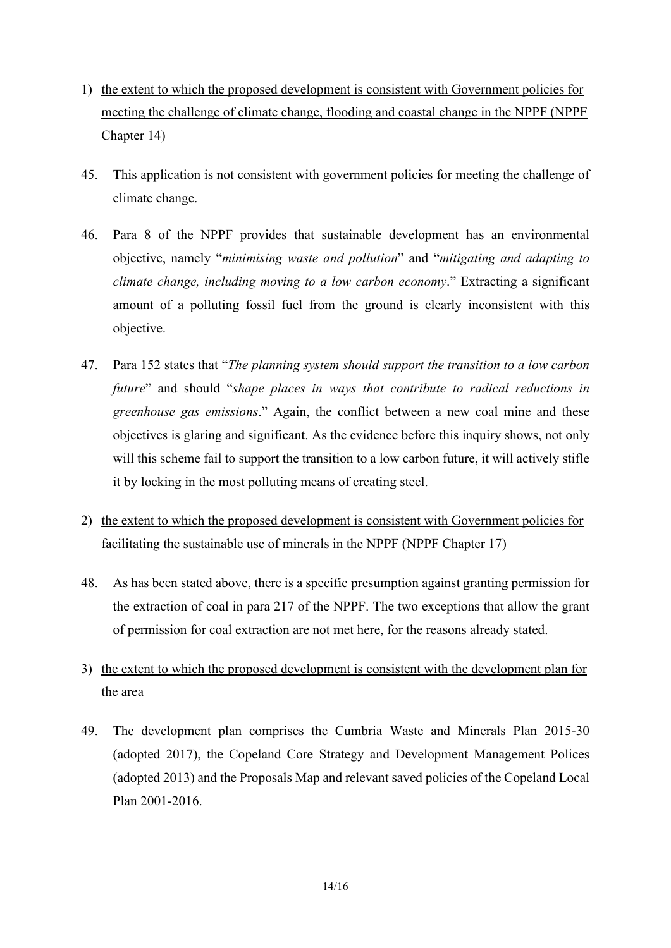- 1) the extent to which the proposed development is consistent with Government policies for meeting the challenge of climate change, flooding and coastal change in the NPPF (NPPF Chapter 14)
- 45. This application is not consistent with government policies for meeting the challenge of climate change.
- 46. Para 8 of the NPPF provides that sustainable development has an environmental objective, namely "*minimising waste and pollution*" and "*mitigating and adapting to climate change, including moving to a low carbon economy*." Extracting a significant amount of a polluting fossil fuel from the ground is clearly inconsistent with this objective.
- 47. Para 152 states that "*The planning system should support the transition to a low carbon future*" and should "*shape places in ways that contribute to radical reductions in greenhouse gas emissions*." Again, the conflict between a new coal mine and these objectives is glaring and significant. As the evidence before this inquiry shows, not only will this scheme fail to support the transition to a low carbon future, it will actively stifle it by locking in the most polluting means of creating steel.
- 2) the extent to which the proposed development is consistent with Government policies for facilitating the sustainable use of minerals in the NPPF (NPPF Chapter 17)
- 48. As has been stated above, there is a specific presumption against granting permission for the extraction of coal in para 217 of the NPPF. The two exceptions that allow the grant of permission for coal extraction are not met here, for the reasons already stated.
- 3) the extent to which the proposed development is consistent with the development plan for the area
- 49. The development plan comprises the Cumbria Waste and Minerals Plan 2015-30 (adopted 2017), the Copeland Core Strategy and Development Management Polices (adopted 2013) and the Proposals Map and relevant saved policies of the Copeland Local Plan 2001-2016.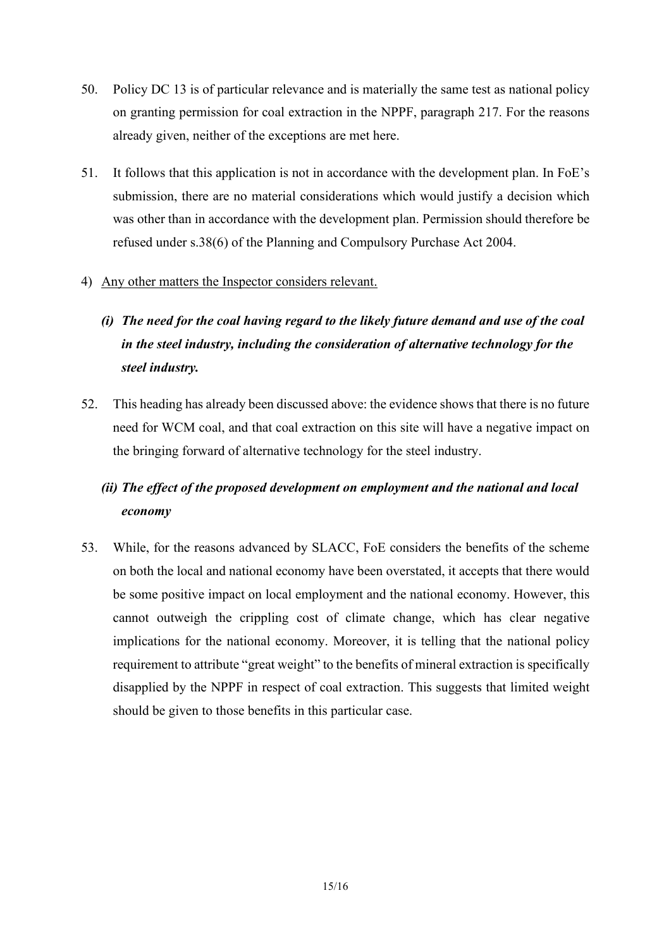- 50. Policy DC 13 is of particular relevance and is materially the same test as national policy on granting permission for coal extraction in the NPPF, paragraph 217. For the reasons already given, neither of the exceptions are met here.
- 51. It follows that this application is not in accordance with the development plan. In FoE's submission, there are no material considerations which would justify a decision which was other than in accordance with the development plan. Permission should therefore be refused under s.38(6) of the Planning and Compulsory Purchase Act 2004.

# 4) Any other matters the Inspector considers relevant.

- *(i) The need for the coal having regard to the likely future demand and use of the coal in the steel industry, including the consideration of alternative technology for the steel industry.*
- 52. This heading has already been discussed above: the evidence shows that there is no future need for WCM coal, and that coal extraction on this site will have a negative impact on the bringing forward of alternative technology for the steel industry.

# *(ii) The effect of the proposed development on employment and the national and local economy*

53. While, for the reasons advanced by SLACC, FoE considers the benefits of the scheme on both the local and national economy have been overstated, it accepts that there would be some positive impact on local employment and the national economy. However, this cannot outweigh the crippling cost of climate change, which has clear negative implications for the national economy. Moreover, it is telling that the national policy requirement to attribute "great weight" to the benefits of mineral extraction is specifically disapplied by the NPPF in respect of coal extraction. This suggests that limited weight should be given to those benefits in this particular case.